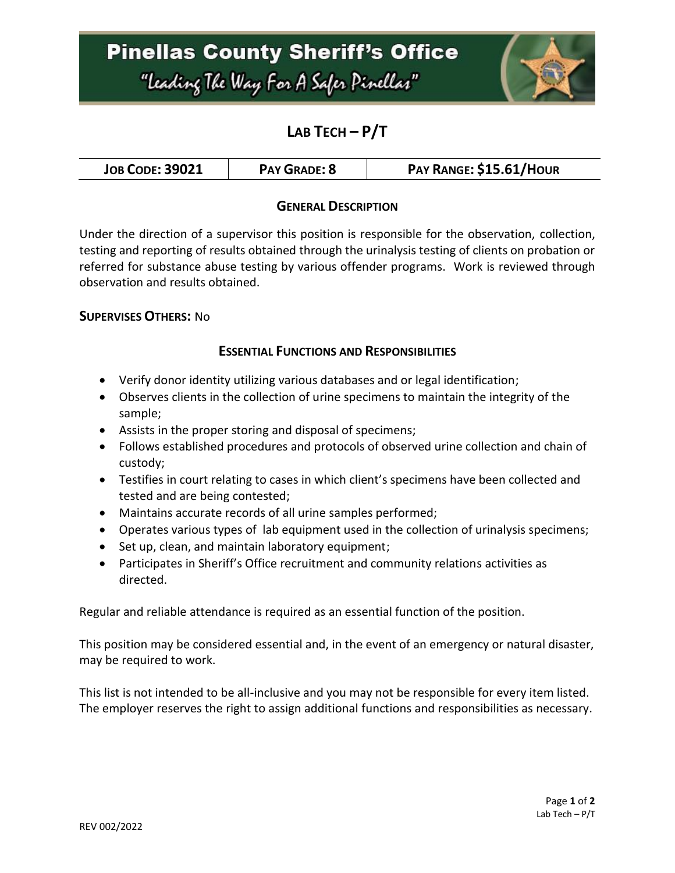# **Pinellas County Sheriff's Office** "Leading The Way For A Safer Pinellar"



## **LAB TECH – P/T**

| PAY RANGE: \$15.61/HOUR<br>PAY GRADE: 8<br><b>JOB CODE: 39021</b> |
|-------------------------------------------------------------------|
|-------------------------------------------------------------------|

### **GENERAL DESCRIPTION**

Under the direction of a supervisor this position is responsible for the observation, collection, testing and reporting of results obtained through the urinalysis testing of clients on probation or referred for substance abuse testing by various offender programs. Work is reviewed through observation and results obtained.

#### **SUPERVISES OTHERS:** No

#### **ESSENTIAL FUNCTIONS AND RESPONSIBILITIES**

- Verify donor identity utilizing various databases and or legal identification;
- Observes clients in the collection of urine specimens to maintain the integrity of the sample;
- Assists in the proper storing and disposal of specimens;
- Follows established procedures and protocols of observed urine collection and chain of custody;
- Testifies in court relating to cases in which client's specimens have been collected and tested and are being contested;
- Maintains accurate records of all urine samples performed;
- Operates various types of lab equipment used in the collection of urinalysis specimens;
- Set up, clean, and maintain laboratory equipment;
- Participates in Sheriff's Office recruitment and community relations activities as directed.

Regular and reliable attendance is required as an essential function of the position.

This position may be considered essential and, in the event of an emergency or natural disaster, may be required to work.

This list is not intended to be all-inclusive and you may not be responsible for every item listed. The employer reserves the right to assign additional functions and responsibilities as necessary.